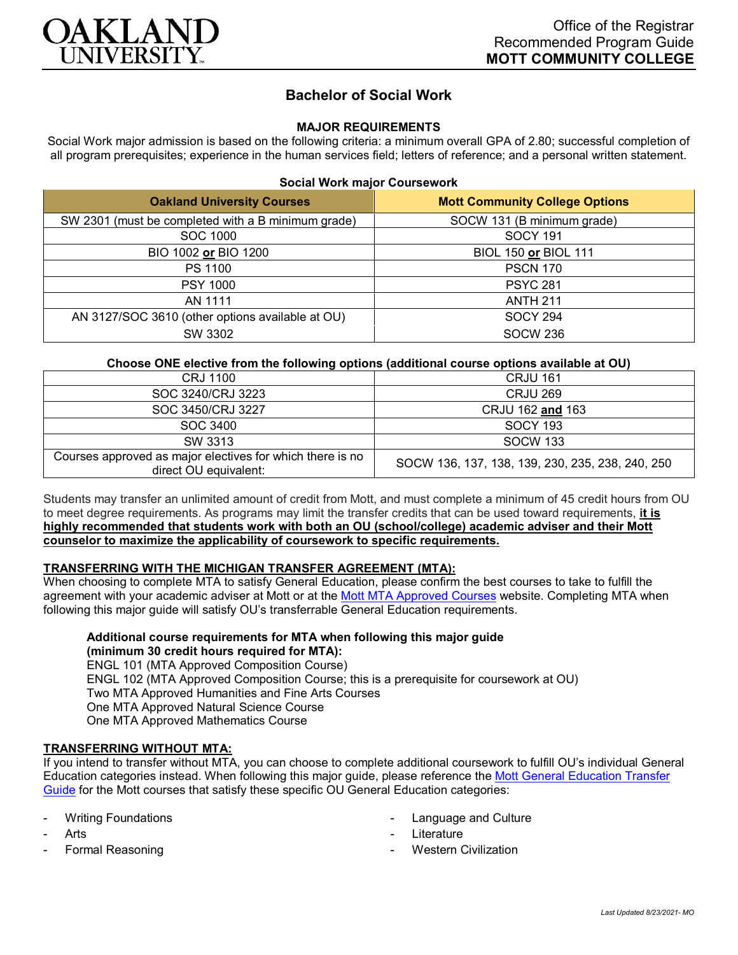

# **Bachelor of Social Work**

# **MAJOR REQUIREMENTS**

Social Work major admission is based on the following criteria: a minimum overall GPA of 2.80; successful completion of all program prerequisites; experience in the human services field; letters of reference; and a personal written statement.

#### **Social Work major Coursework**

| <b>Oakland University Courses</b>                  | <b>Mott Community College Options</b> |
|----------------------------------------------------|---------------------------------------|
| SW 2301 (must be completed with a B minimum grade) | SOCW 131 (B minimum grade)            |
| SOC 1000                                           | <b>SOCY 191</b>                       |
| BIO 1002 or BIO 1200                               | BIOL 150 or BIOL 111                  |
| PS 1100                                            | <b>PSCN 170</b>                       |
| <b>PSY 1000</b>                                    | <b>PSYC 281</b>                       |
| AN 1111                                            | <b>ANTH 211</b>                       |
| AN 3127/SOC 3610 (other options available at OU)   | <b>SOCY 294</b>                       |
| SW 3302                                            | <b>SOCW 236</b>                       |

# **Choose ONE elective from the following options (additional course options available at OU)**

| CRJ 1100                                                                           | <b>CRJU 161</b>                                  |
|------------------------------------------------------------------------------------|--------------------------------------------------|
| SOC 3240/CRJ 3223                                                                  | <b>CRJU 269</b>                                  |
| SOC 3450/CRJ 3227                                                                  | CRJU 162 and 163                                 |
| SOC 3400                                                                           | <b>SOCY 193</b>                                  |
| SW 3313                                                                            | <b>SOCW 133</b>                                  |
| Courses approved as major electives for which there is no<br>direct OU equivalent: | SOCW 136, 137, 138, 139, 230, 235, 238, 240, 250 |

Students may transfer an unlimited amount of credit from Mott, and must complete a minimum of 45 credit hours from OU to meet degree requirements. As programs may limit the transfer credits that can be used toward requirements, **it is highly recommended that students work with both an OU (school/college) academic adviser and their Mott counselor to maximize the applicability of coursework to specific requirements.**

#### **TRANSFERRING WITH THE MICHIGAN TRANSFER AGREEMENT (MTA):**

When choosing to complete MTA to satisfy General Education, please confirm the best courses to take to fulfill the agreement with your academic adviser at Mott or at the [Mott MTA Approved Courses](https://www.mcc.edu/counseling_student_dev/casd_mi_transfer_agreement.shtml) website. Completing MTA when following this major guide will satisfy OU's transferrable General Education requirements.

# **Additional course requirements for MTA when following this major guide**

**(minimum 30 credit hours required for MTA):** ENGL 101 (MTA Approved Composition Course) ENGL 102 (MTA Approved Composition Course; this is a prerequisite for coursework at OU) Two MTA Approved Humanities and Fine Arts Courses One MTA Approved Natural Science Course One MTA Approved Mathematics Course

## **TRANSFERRING WITHOUT MTA:**

If you intend to transfer without MTA, you can choose to complete additional coursework to fulfill OU's individual General Education categories instead. When following this major guide, please reference th[e Mott General Education Transfer](https://www.oakland.edu/Assets/Oakland/program-guides/mott-community-college/university-general-education-requirements/Mott%20Gen%20Ed.pdf)  [Guide](https://www.oakland.edu/Assets/Oakland/program-guides/mott-community-college/university-general-education-requirements/Mott%20Gen%20Ed.pdf) for the Mott courses that satisfy these specific OU General Education categories:

- **Writing Foundations**
- **Arts**
- Formal Reasoning
- Language and Culture
- **Literature**
- Western Civilization